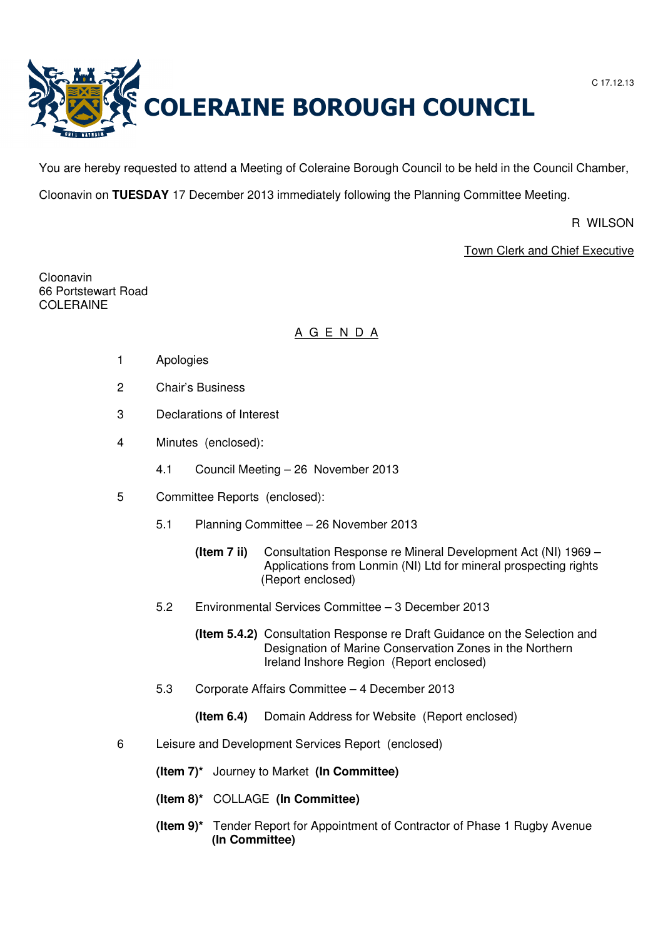

You are hereby requested to attend a Meeting of Coleraine Borough Council to be held in the Council Chamber,

Cloonavin on **TUESDAY** 17 December 2013 immediately following the Planning Committee Meeting.

R WILSON

Town Clerk and Chief Executive

Cloonavin 66 Portstewart Road COLERAINE

# A G E N D A

- 1 Apologies
- 2 Chair's Business
- 3 Declarations of Interest
- 4 Minutes (enclosed):
	- 4.1 Council Meeting 26 November 2013
- 5 Committee Reports (enclosed):
	- 5.1 Planning Committee 26 November 2013
		- **(Item 7 ii)** Consultation Response re Mineral Development Act (NI) 1969 Applications from Lonmin (NI) Ltd for mineral prospecting rights (Report enclosed)
	- 5.2 Environmental Services Committee 3 December 2013
		- **(Item 5.4.2)** Consultation Response re Draft Guidance on the Selection and Designation of Marine Conservation Zones in the Northern Ireland Inshore Region (Report enclosed)
	- 5.3 Corporate Affairs Committee 4 December 2013
		- **(Item 6.4)** Domain Address for Website (Report enclosed)
- 6 Leisure and Development Services Report (enclosed)
	- **(Item 7)\*** Journey to Market **(In Committee)**
	- **(Item 8)\*** COLLAGE **(In Committee)**
	- **(Item 9)\*** Tender Report for Appointment of Contractor of Phase 1 Rugby Avenue **(In Committee)**

C 17.12.13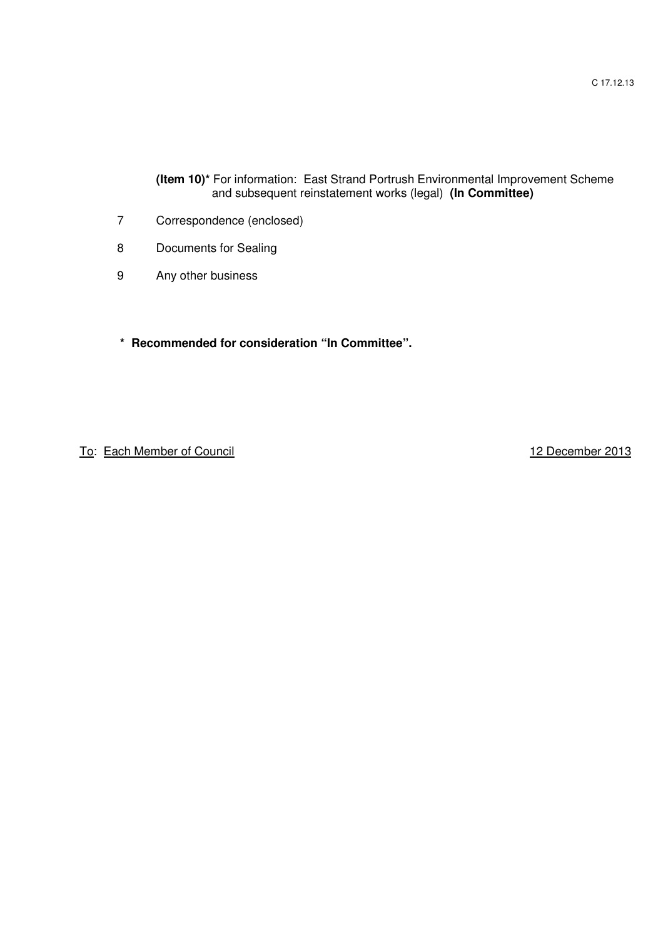**(Item 10)\*** For information: East Strand Portrush Environmental Improvement Scheme and subsequent reinstatement works (legal) **(In Committee)** 

- 7 Correspondence (enclosed)
- 8 Documents for Sealing
- 9 Any other business
- **\* Recommended for consideration "In Committee".**

To: Each Member of Council 12 December 2013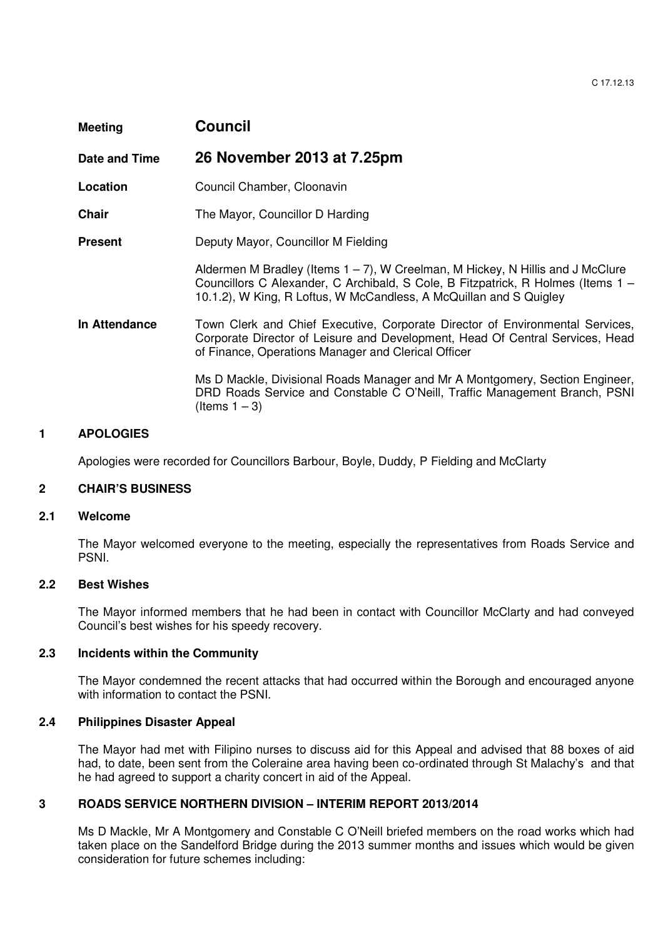| <b>Meeting</b> | Council                                                                                                                                                                                                                                     |
|----------------|---------------------------------------------------------------------------------------------------------------------------------------------------------------------------------------------------------------------------------------------|
| Date and Time  | 26 November 2013 at 7.25pm                                                                                                                                                                                                                  |
| Location       | Council Chamber, Cloonavin                                                                                                                                                                                                                  |
| <b>Chair</b>   | The Mayor, Councillor D Harding                                                                                                                                                                                                             |
| <b>Present</b> | Deputy Mayor, Councillor M Fielding                                                                                                                                                                                                         |
|                | Aldermen M Bradley (Items $1 - 7$ ), W Creelman, M Hickey, N Hillis and J McClure<br>Councillors C Alexander, C Archibald, S Cole, B Fitzpatrick, R Holmes (Items 1 –<br>10.1.2), W King, R Loftus, W McCandless, A McQuillan and S Quigley |
| In Attendance  | Town Clerk and Chief Executive, Corporate Director of Environmental Services,<br>Corporate Director of Leisure and Development, Head Of Central Services, Head<br>of Finance, Operations Manager and Clerical Officer                       |
|                | Ms D Mackle, Divisional Roads Manager and Mr A Montgomery, Section Engineer,<br>DRD Roads Service and Constable C O'Neill, Traffic Management Branch, PSNI<br>(Items $1 - 3$ )                                                              |

# **1 APOLOGIES**

Apologies were recorded for Councillors Barbour, Boyle, Duddy, P Fielding and McClarty

#### **2 CHAIR'S BUSINESS**

#### **2.1 Welcome**

The Mayor welcomed everyone to the meeting, especially the representatives from Roads Service and PSNI.

#### **2.2 Best Wishes**

The Mayor informed members that he had been in contact with Councillor McClarty and had conveyed Council's best wishes for his speedy recovery.

## **2.3 Incidents within the Community**

The Mayor condemned the recent attacks that had occurred within the Borough and encouraged anyone with information to contact the PSNI.

# **2.4 Philippines Disaster Appeal**

The Mayor had met with Filipino nurses to discuss aid for this Appeal and advised that 88 boxes of aid had, to date, been sent from the Coleraine area having been co-ordinated through St Malachy's and that he had agreed to support a charity concert in aid of the Appeal.

#### **3 ROADS SERVICE NORTHERN DIVISION – INTERIM REPORT 2013/2014**

Ms D Mackle, Mr A Montgomery and Constable C O'Neill briefed members on the road works which had taken place on the Sandelford Bridge during the 2013 summer months and issues which would be given consideration for future schemes including: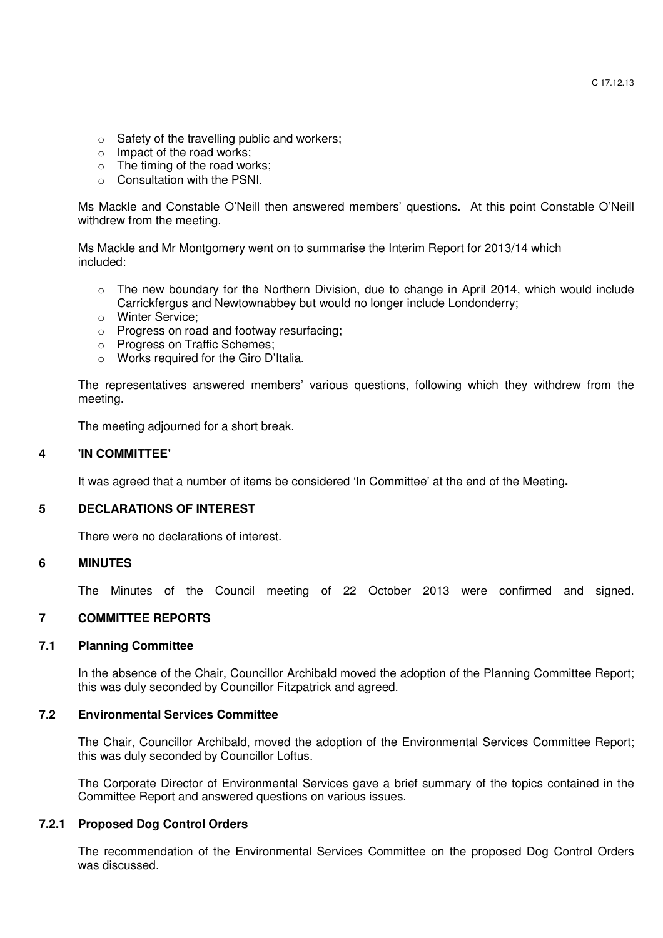- o Safety of the travelling public and workers;
- o Impact of the road works;
- o The timing of the road works;
- o Consultation with the PSNI.

Ms Mackle and Constable O'Neill then answered members' questions. At this point Constable O'Neill withdrew from the meeting.

 Ms Mackle and Mr Montgomery went on to summarise the Interim Report for 2013/14 which included:

- o The new boundary for the Northern Division, due to change in April 2014, which would include Carrickfergus and Newtownabbey but would no longer include Londonderry;
- o Winter Service;
- o Progress on road and footway resurfacing;
- o Progress on Traffic Schemes;
- o Works required for the Giro D'Italia.

 The representatives answered members' various questions, following which they withdrew from the meeting.

The meeting adjourned for a short break.

#### **4 'IN COMMITTEE'**

It was agreed that a number of items be considered 'In Committee' at the end of the Meeting**.** 

# **5 DECLARATIONS OF INTEREST**

There were no declarations of interest.

#### **6 MINUTES**

The Minutes of the Council meeting of 22 October 2013 were confirmed and signed.

# **7 COMMITTEE REPORTS**

#### **7.1 Planning Committee**

In the absence of the Chair, Councillor Archibald moved the adoption of the Planning Committee Report; this was duly seconded by Councillor Fitzpatrick and agreed.

#### **7.2 Environmental Services Committee**

The Chair, Councillor Archibald, moved the adoption of the Environmental Services Committee Report; this was duly seconded by Councillor Loftus.

The Corporate Director of Environmental Services gave a brief summary of the topics contained in the Committee Report and answered questions on various issues.

## **7.2.1 Proposed Dog Control Orders**

 The recommendation of the Environmental Services Committee on the proposed Dog Control Orders was discussed.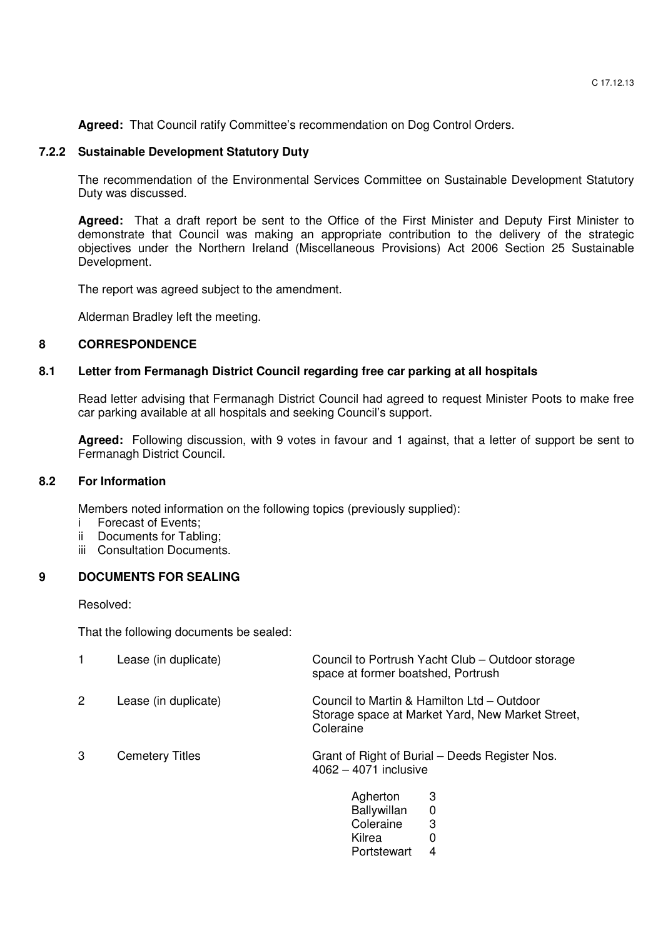**Agreed:** That Council ratify Committee's recommendation on Dog Control Orders.

# **7.2.2 Sustainable Development Statutory Duty**

The recommendation of the Environmental Services Committee on Sustainable Development Statutory Duty was discussed.

**Agreed:** That a draft report be sent to the Office of the First Minister and Deputy First Minister to demonstrate that Council was making an appropriate contribution to the delivery of the strategic objectives under the Northern Ireland (Miscellaneous Provisions) Act 2006 Section 25 Sustainable Development.

The report was agreed subject to the amendment.

Alderman Bradley left the meeting.

# **8 CORRESPONDENCE**

# **8.1 Letter from Fermanagh District Council regarding free car parking at all hospitals**

 Read letter advising that Fermanagh District Council had agreed to request Minister Poots to make free car parking available at all hospitals and seeking Council's support.

**Agreed:** Following discussion, with 9 votes in favour and 1 against, that a letter of support be sent to Fermanagh District Council.

# **8.2 For Information**

Members noted information on the following topics (previously supplied):

- i Forecast of Events;
- ii Documents for Tabling;
- iii Consultation Documents.

# **9 DOCUMENTS FOR SEALING**

Resolved:

That the following documents be sealed:

|              | Lease (in duplicate)   | Council to Portrush Yacht Club – Outdoor storage<br>space at former boatshed, Portrush                      |
|--------------|------------------------|-------------------------------------------------------------------------------------------------------------|
| $\mathbf{2}$ | Lease (in duplicate)   | Council to Martin & Hamilton Ltd – Outdoor<br>Storage space at Market Yard, New Market Street,<br>Coleraine |
| 3            | <b>Cemetery Titles</b> | Grant of Right of Burial – Deeds Register Nos.<br>$4062 - 4071$ inclusive                                   |
|              |                        | 3<br>Agherton<br><b>Ballywillan</b><br>0<br>Coleraine<br>3<br>Kilrea<br>0                                   |

Portstewart 4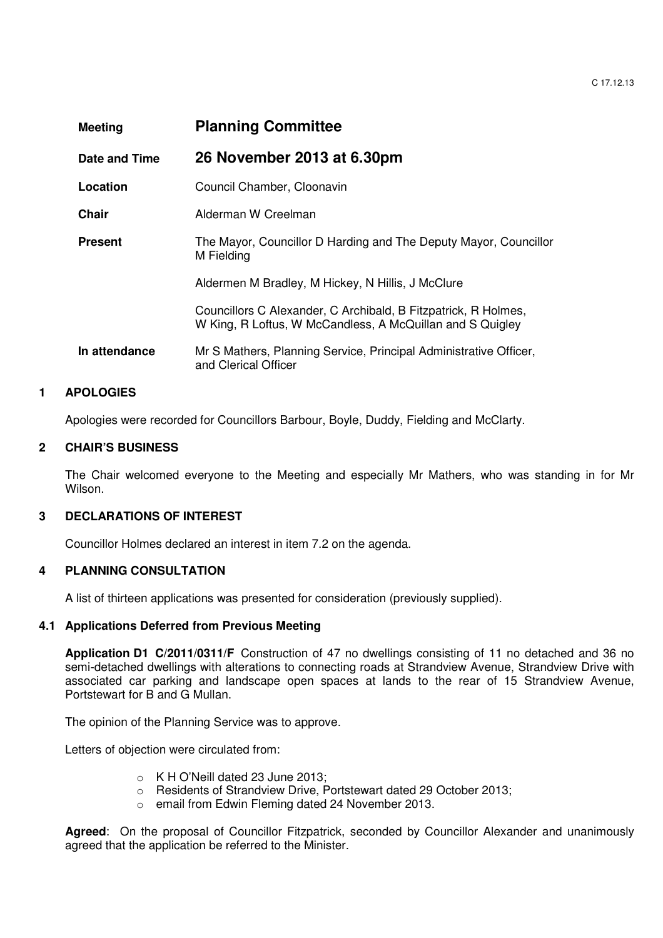C 17.12.13

| <b>Meeting</b> | <b>Planning Committee</b>                                                                                                   |
|----------------|-----------------------------------------------------------------------------------------------------------------------------|
| Date and Time  | 26 November 2013 at 6.30pm                                                                                                  |
| Location       | Council Chamber, Cloonavin                                                                                                  |
| Chair          | Alderman W Creelman                                                                                                         |
| <b>Present</b> | The Mayor, Councillor D Harding and The Deputy Mayor, Councillor<br>M Fielding                                              |
|                | Aldermen M Bradley, M Hickey, N Hillis, J McClure                                                                           |
|                | Councillors C Alexander, C Archibald, B Fitzpatrick, R Holmes,<br>W King, R Loftus, W McCandless, A McQuillan and S Quigley |
| In attendance  | Mr S Mathers, Planning Service, Principal Administrative Officer,<br>and Clerical Officer                                   |

# **1 APOLOGIES**

Apologies were recorded for Councillors Barbour, Boyle, Duddy, Fielding and McClarty.

# **2 CHAIR'S BUSINESS**

The Chair welcomed everyone to the Meeting and especially Mr Mathers, who was standing in for Mr Wilson.

## **3 DECLARATIONS OF INTEREST**

Councillor Holmes declared an interest in item 7.2 on the agenda.

## **4 PLANNING CONSULTATION**

A list of thirteen applications was presented for consideration (previously supplied).

## **4.1 Applications Deferred from Previous Meeting**

**Application D1 C/2011/0311/F** Construction of 47 no dwellings consisting of 11 no detached and 36 no semi-detached dwellings with alterations to connecting roads at Strandview Avenue, Strandview Drive with associated car parking and landscape open spaces at lands to the rear of 15 Strandview Avenue, Portstewart for B and G Mullan.

The opinion of the Planning Service was to approve.

Letters of objection were circulated from:

- o K H O'Neill dated 23 June 2013;
- o Residents of Strandview Drive, Portstewart dated 29 October 2013;
- o email from Edwin Fleming dated 24 November 2013.

**Agreed**: On the proposal of Councillor Fitzpatrick, seconded by Councillor Alexander and unanimously agreed that the application be referred to the Minister.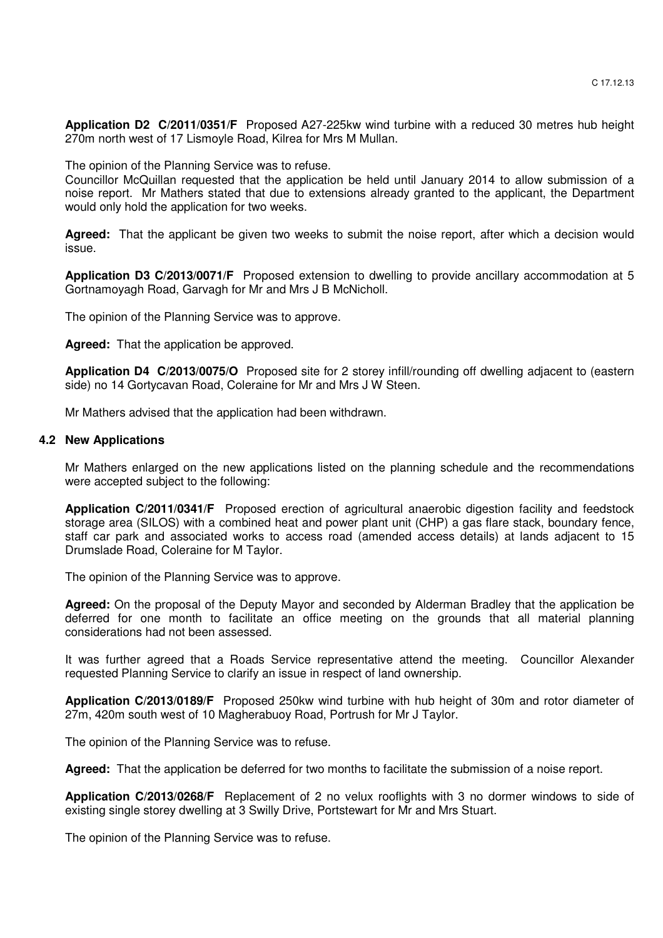**Application D2 C/2011/0351/F** Proposed A27-225kw wind turbine with a reduced 30 metres hub height 270m north west of 17 Lismoyle Road, Kilrea for Mrs M Mullan.

The opinion of the Planning Service was to refuse.

Councillor McQuillan requested that the application be held until January 2014 to allow submission of a noise report. Mr Mathers stated that due to extensions already granted to the applicant, the Department would only hold the application for two weeks.

**Agreed:** That the applicant be given two weeks to submit the noise report, after which a decision would issue.

**Application D3 C/2013/0071/F** Proposed extension to dwelling to provide ancillary accommodation at 5 Gortnamoyagh Road, Garvagh for Mr and Mrs J B McNicholl.

The opinion of the Planning Service was to approve.

**Agreed:** That the application be approved.

**Application D4 C/2013/0075/O** Proposed site for 2 storey infill/rounding off dwelling adjacent to (eastern side) no 14 Gortycavan Road, Coleraine for Mr and Mrs J W Steen.

Mr Mathers advised that the application had been withdrawn.

#### **4.2 New Applications**

Mr Mathers enlarged on the new applications listed on the planning schedule and the recommendations were accepted subject to the following:

**Application C/2011/0341/F** Proposed erection of agricultural anaerobic digestion facility and feedstock storage area (SILOS) with a combined heat and power plant unit (CHP) a gas flare stack, boundary fence, staff car park and associated works to access road (amended access details) at lands adjacent to 15 Drumslade Road, Coleraine for M Taylor.

The opinion of the Planning Service was to approve.

**Agreed:** On the proposal of the Deputy Mayor and seconded by Alderman Bradley that the application be deferred for one month to facilitate an office meeting on the grounds that all material planning considerations had not been assessed.

It was further agreed that a Roads Service representative attend the meeting. Councillor Alexander requested Planning Service to clarify an issue in respect of land ownership.

**Application C/2013/0189/F** Proposed 250kw wind turbine with hub height of 30m and rotor diameter of 27m, 420m south west of 10 Magherabuoy Road, Portrush for Mr J Taylor.

The opinion of the Planning Service was to refuse.

**Agreed:** That the application be deferred for two months to facilitate the submission of a noise report.

**Application C/2013/0268/F** Replacement of 2 no velux rooflights with 3 no dormer windows to side of existing single storey dwelling at 3 Swilly Drive, Portstewart for Mr and Mrs Stuart.

The opinion of the Planning Service was to refuse.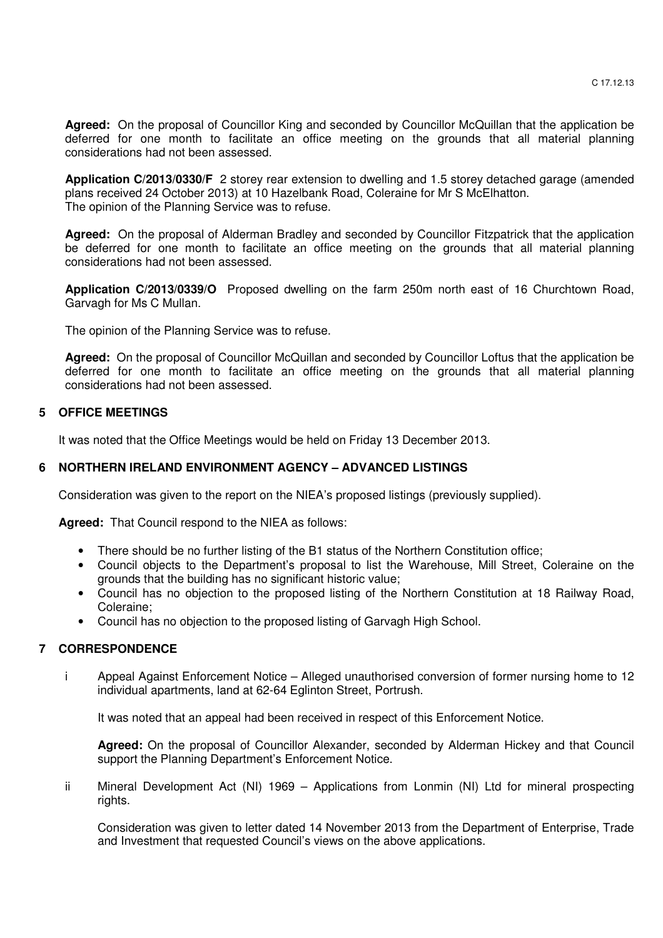**Agreed:** On the proposal of Councillor King and seconded by Councillor McQuillan that the application be deferred for one month to facilitate an office meeting on the grounds that all material planning considerations had not been assessed.

**Application C/2013/0330/F** 2 storey rear extension to dwelling and 1.5 storey detached garage (amended plans received 24 October 2013) at 10 Hazelbank Road, Coleraine for Mr S McElhatton. The opinion of the Planning Service was to refuse.

**Agreed:** On the proposal of Alderman Bradley and seconded by Councillor Fitzpatrick that the application be deferred for one month to facilitate an office meeting on the grounds that all material planning considerations had not been assessed.

**Application C/2013/0339/O** Proposed dwelling on the farm 250m north east of 16 Churchtown Road, Garvagh for Ms C Mullan.

The opinion of the Planning Service was to refuse.

**Agreed:** On the proposal of Councillor McQuillan and seconded by Councillor Loftus that the application be deferred for one month to facilitate an office meeting on the grounds that all material planning considerations had not been assessed.

## **5 OFFICE MEETINGS**

It was noted that the Office Meetings would be held on Friday 13 December 2013.

# **6 NORTHERN IRELAND ENVIRONMENT AGENCY – ADVANCED LISTINGS**

Consideration was given to the report on the NIEA's proposed listings (previously supplied).

**Agreed:** That Council respond to the NIEA as follows:

- There should be no further listing of the B1 status of the Northern Constitution office;
- Council objects to the Department's proposal to list the Warehouse, Mill Street, Coleraine on the grounds that the building has no significant historic value;
- Council has no objection to the proposed listing of the Northern Constitution at 18 Railway Road, Coleraine;
- Council has no objection to the proposed listing of Garvagh High School.

## **7 CORRESPONDENCE**

 i Appeal Against Enforcement Notice – Alleged unauthorised conversion of former nursing home to 12 individual apartments, land at 62-64 Eglinton Street, Portrush.

It was noted that an appeal had been received in respect of this Enforcement Notice.

 **Agreed:** On the proposal of Councillor Alexander, seconded by Alderman Hickey and that Council support the Planning Department's Enforcement Notice.

 ii Mineral Development Act (NI) 1969 – Applications from Lonmin (NI) Ltd for mineral prospecting rights.

 Consideration was given to letter dated 14 November 2013 from the Department of Enterprise, Trade and Investment that requested Council's views on the above applications.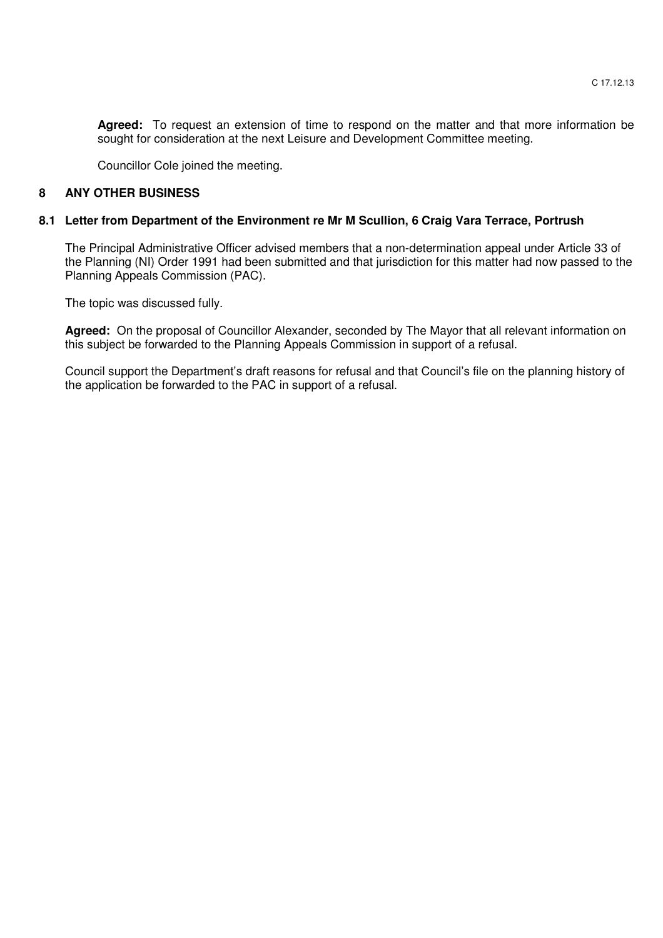**Agreed:** To request an extension of time to respond on the matter and that more information be sought for consideration at the next Leisure and Development Committee meeting.

Councillor Cole joined the meeting.

## **8 ANY OTHER BUSINESS**

#### **8.1 Letter from Department of the Environment re Mr M Scullion, 6 Craig Vara Terrace, Portrush**

The Principal Administrative Officer advised members that a non-determination appeal under Article 33 of the Planning (NI) Order 1991 had been submitted and that jurisdiction for this matter had now passed to the Planning Appeals Commission (PAC).

The topic was discussed fully.

**Agreed:** On the proposal of Councillor Alexander, seconded by The Mayor that all relevant information on this subject be forwarded to the Planning Appeals Commission in support of a refusal.

Council support the Department's draft reasons for refusal and that Council's file on the planning history of the application be forwarded to the PAC in support of a refusal.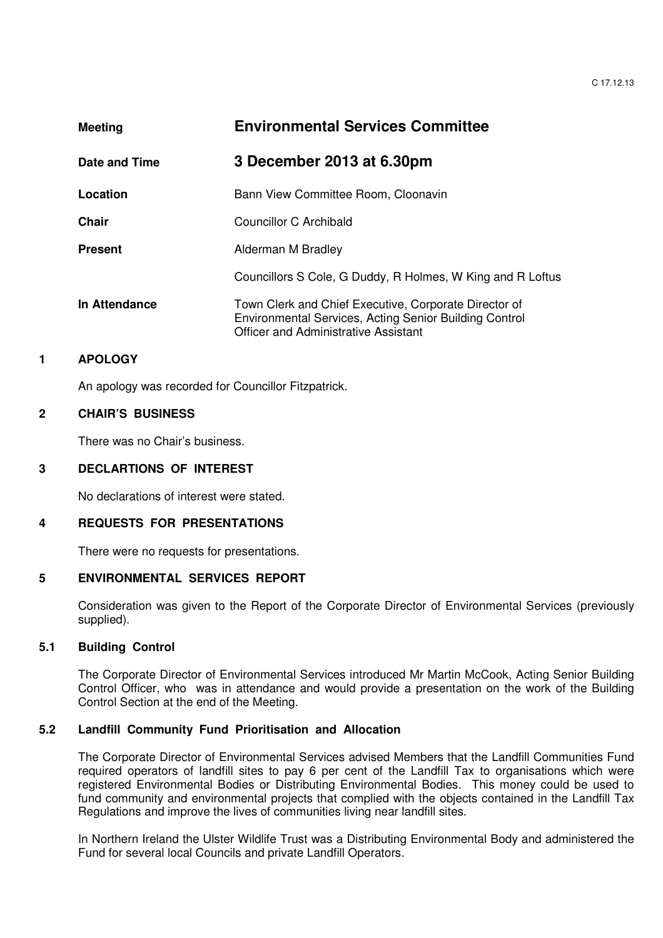| <b>Meeting</b> | <b>Environmental Services Committee</b>                                                                                                                        |
|----------------|----------------------------------------------------------------------------------------------------------------------------------------------------------------|
| Date and Time  | 3 December 2013 at 6.30pm                                                                                                                                      |
| Location       | Bann View Committee Room, Cloonavin                                                                                                                            |
| Chair          | Councillor C Archibald                                                                                                                                         |
| <b>Present</b> | Alderman M Bradley                                                                                                                                             |
|                | Councillors S Cole, G Duddy, R Holmes, W King and R Loftus                                                                                                     |
| In Attendance  | Town Clerk and Chief Executive, Corporate Director of<br>Environmental Services, Acting Senior Building Control<br><b>Officer and Administrative Assistant</b> |

# **1 APOLOGY**

An apology was recorded for Councillor Fitzpatrick.

## **2 CHAIR'S BUSINESS**

There was no Chair's business.

#### **3 DECLARTIONS OF INTEREST**

No declarations of interest were stated.

## **4 REQUESTS FOR PRESENTATIONS**

There were no requests for presentations.

## **5 ENVIRONMENTAL SERVICES REPORT**

Consideration was given to the Report of the Corporate Director of Environmental Services (previously supplied).

## **5.1 Building Control**

The Corporate Director of Environmental Services introduced Mr Martin McCook, Acting Senior Building Control Officer, who was in attendance and would provide a presentation on the work of the Building Control Section at the end of the Meeting.

# **5.2 Landfill Community Fund Prioritisation and Allocation**

The Corporate Director of Environmental Services advised Members that the Landfill Communities Fund required operators of landfill sites to pay 6 per cent of the Landfill Tax to organisations which were registered Environmental Bodies or Distributing Environmental Bodies. This money could be used to fund community and environmental projects that complied with the objects contained in the Landfill Tax Regulations and improve the lives of communities living near landfill sites.

 In Northern Ireland the Ulster Wildlife Trust was a Distributing Environmental Body and administered the Fund for several local Councils and private Landfill Operators.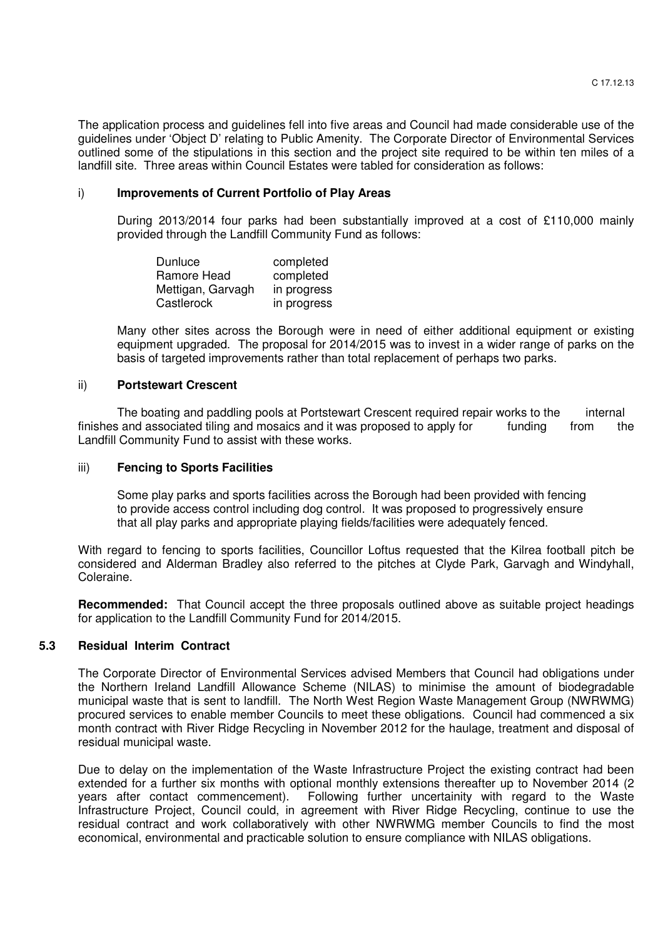The application process and guidelines fell into five areas and Council had made considerable use of the guidelines under 'Object D' relating to Public Amenity. The Corporate Director of Environmental Services outlined some of the stipulations in this section and the project site required to be within ten miles of a landfill site. Three areas within Council Estates were tabled for consideration as follows:

#### i) **Improvements of Current Portfolio of Play Areas**

During 2013/2014 four parks had been substantially improved at a cost of £110,000 mainly provided through the Landfill Community Fund as follows:

Dunluce completed Ramore Head completed<br>Mettigan, Garvagh in progress Mettigan, Garvagh Castlerock in progress

 Many other sites across the Borough were in need of either additional equipment or existing equipment upgraded. The proposal for 2014/2015 was to invest in a wider range of parks on the basis of targeted improvements rather than total replacement of perhaps two parks.

#### ii) **Portstewart Crescent**

The boating and paddling pools at Portstewart Crescent required repair works to the internal finishes and associated tiling and mosaics and it was proposed to apply for funding from the Landfill Community Fund to assist with these works.

#### iii) **Fencing to Sports Facilities**

Some play parks and sports facilities across the Borough had been provided with fencing to provide access control including dog control. It was proposed to progressively ensure that all play parks and appropriate playing fields/facilities were adequately fenced.

With regard to fencing to sports facilities. Councillor Loftus requested that the Kilrea football pitch be considered and Alderman Bradley also referred to the pitches at Clyde Park, Garvagh and Windyhall, Coleraine.

**Recommended:** That Council accept the three proposals outlined above as suitable project headings for application to the Landfill Community Fund for 2014/2015.

## **5.3 Residual Interim Contract**

The Corporate Director of Environmental Services advised Members that Council had obligations under the Northern Ireland Landfill Allowance Scheme (NILAS) to minimise the amount of biodegradable municipal waste that is sent to landfill. The North West Region Waste Management Group (NWRWMG) procured services to enable member Councils to meet these obligations. Council had commenced a six month contract with River Ridge Recycling in November 2012 for the haulage, treatment and disposal of residual municipal waste.

 Due to delay on the implementation of the Waste Infrastructure Project the existing contract had been extended for a further six months with optional monthly extensions thereafter up to November 2014 (2 years after contact commencement). Following further uncertainity with regard to the Waste Infrastructure Project, Council could, in agreement with River Ridge Recycling, continue to use the residual contract and work collaboratively with other NWRWMG member Councils to find the most economical, environmental and practicable solution to ensure compliance with NILAS obligations.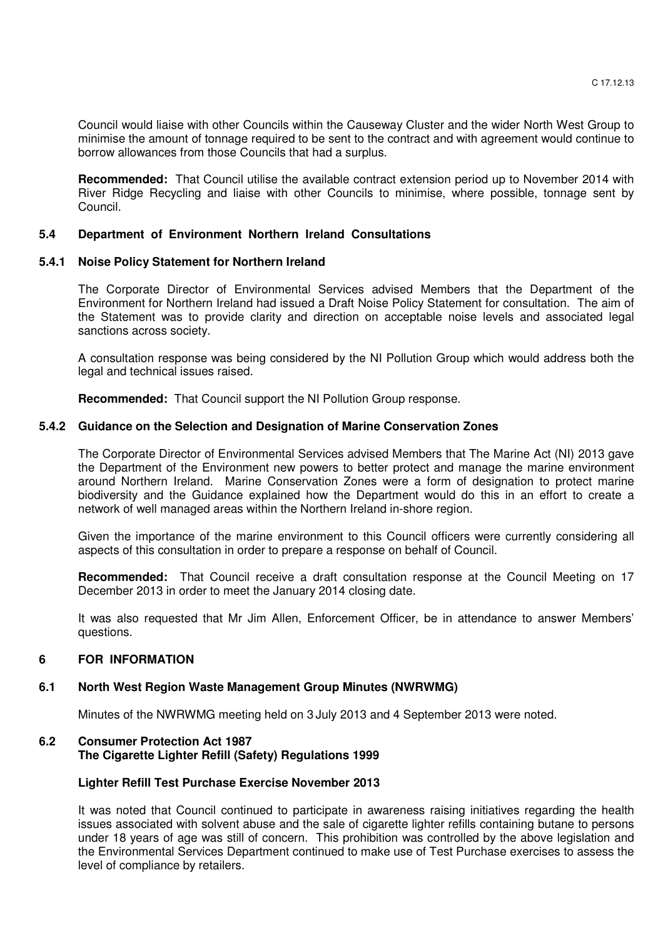Council would liaise with other Councils within the Causeway Cluster and the wider North West Group to minimise the amount of tonnage required to be sent to the contract and with agreement would continue to borrow allowances from those Councils that had a surplus.

**Recommended:** That Council utilise the available contract extension period up to November 2014 with River Ridge Recycling and liaise with other Councils to minimise, where possible, tonnage sent by Council.

# **5.4 Department of Environment Northern Ireland Consultations**

# **5.4.1 Noise Policy Statement for Northern Ireland**

 The Corporate Director of Environmental Services advised Members that the Department of the Environment for Northern Ireland had issued a Draft Noise Policy Statement for consultation. The aim of the Statement was to provide clarity and direction on acceptable noise levels and associated legal sanctions across society.

 A consultation response was being considered by the NI Pollution Group which would address both the legal and technical issues raised.

**Recommended:** That Council support the NI Pollution Group response.

## **5.4.2 Guidance on the Selection and Designation of Marine Conservation Zones**

The Corporate Director of Environmental Services advised Members that The Marine Act (NI) 2013 gave the Department of the Environment new powers to better protect and manage the marine environment around Northern Ireland. Marine Conservation Zones were a form of designation to protect marine biodiversity and the Guidance explained how the Department would do this in an effort to create a network of well managed areas within the Northern Ireland in-shore region.

 Given the importance of the marine environment to this Council officers were currently considering all aspects of this consultation in order to prepare a response on behalf of Council.

**Recommended:** That Council receive a draft consultation response at the Council Meeting on 17 December 2013 in order to meet the January 2014 closing date.

 It was also requested that Mr Jim Allen, Enforcement Officer, be in attendance to answer Members' questions.

## **6 FOR INFORMATION**

## **6.1 North West Region Waste Management Group Minutes (NWRWMG)**

Minutes of the NWRWMG meeting held on 3 July 2013 and 4 September 2013 were noted.

# **6.2 Consumer Protection Act 1987 The Cigarette Lighter Refill (Safety) Regulations 1999**

## **Lighter Refill Test Purchase Exercise November 2013**

It was noted that Council continued to participate in awareness raising initiatives regarding the health issues associated with solvent abuse and the sale of cigarette lighter refills containing butane to persons under 18 years of age was still of concern. This prohibition was controlled by the above legislation and the Environmental Services Department continued to make use of Test Purchase exercises to assess the level of compliance by retailers.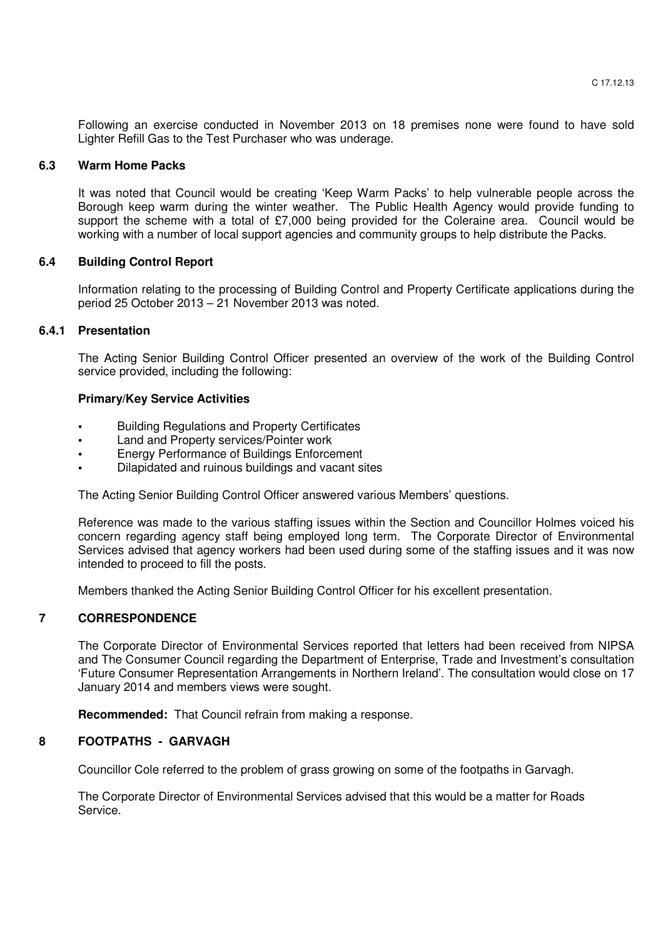Following an exercise conducted in November 2013 on 18 premises none were found to have sold Lighter Refill Gas to the Test Purchaser who was underage.

#### **6.3 Warm Home Packs**

It was noted that Council would be creating 'Keep Warm Packs' to help vulnerable people across the Borough keep warm during the winter weather. The Public Health Agency would provide funding to support the scheme with a total of £7,000 being provided for the Coleraine area. Council would be working with a number of local support agencies and community groups to help distribute the Packs.

#### **6.4 Building Control Report**

 Information relating to the processing of Building Control and Property Certificate applications during the period 25 October 2013 – 21 November 2013 was noted.

## **6.4.1 Presentation**

 The Acting Senior Building Control Officer presented an overview of the work of the Building Control service provided, including the following:

#### **Primary/Key Service Activities**

- Building Regulations and Property Certificates
- Land and Property services/Pointer work
- Energy Performance of Buildings Enforcement
- Dilapidated and ruinous buildings and vacant sites

The Acting Senior Building Control Officer answered various Members' questions.

 Reference was made to the various staffing issues within the Section and Councillor Holmes voiced his concern regarding agency staff being employed long term. The Corporate Director of Environmental Services advised that agency workers had been used during some of the staffing issues and it was now intended to proceed to fill the posts.

Members thanked the Acting Senior Building Control Officer for his excellent presentation.

## **7 CORRESPONDENCE**

 The Corporate Director of Environmental Services reported that letters had been received from NIPSA and The Consumer Council regarding the Department of Enterprise, Trade and Investment's consultation 'Future Consumer Representation Arrangements in Northern Ireland'. The consultation would close on 17 January 2014 and members views were sought.

**Recommended:** That Council refrain from making a response.

## **8 FOOTPATHS - GARVAGH**

Councillor Cole referred to the problem of grass growing on some of the footpaths in Garvagh.

 The Corporate Director of Environmental Services advised that this would be a matter for Roads Service.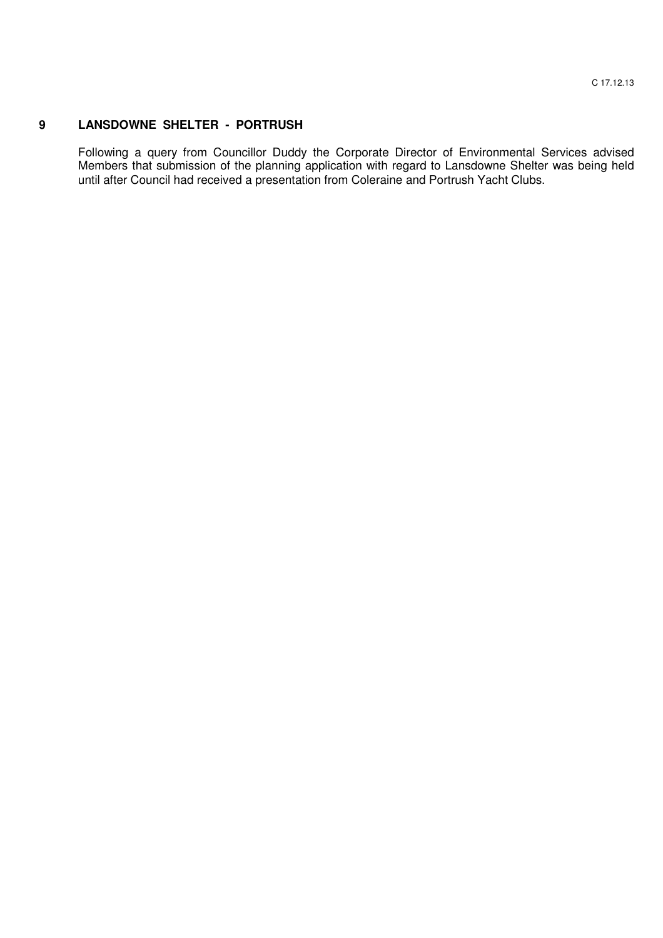# **9 LANSDOWNE SHELTER - PORTRUSH**

Following a query from Councillor Duddy the Corporate Director of Environmental Services advised Members that submission of the planning application with regard to Lansdowne Shelter was being held until after Council had received a presentation from Coleraine and Portrush Yacht Clubs.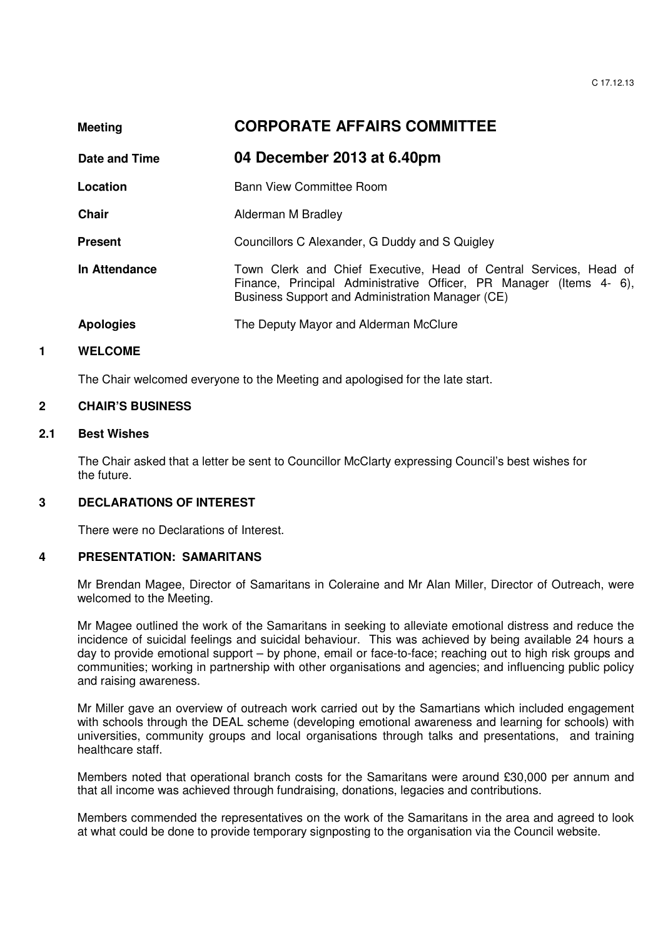| <b>Meeting</b>   | <b>CORPORATE AFFAIRS COMMITTEE</b>                                                                                                                                                          |
|------------------|---------------------------------------------------------------------------------------------------------------------------------------------------------------------------------------------|
| Date and Time    | 04 December 2013 at 6.40pm                                                                                                                                                                  |
| Location         | Bann View Committee Room                                                                                                                                                                    |
| Chair            | Alderman M Bradley                                                                                                                                                                          |
| <b>Present</b>   | Councillors C Alexander, G Duddy and S Quigley                                                                                                                                              |
| In Attendance    | Town Clerk and Chief Executive, Head of Central Services, Head of<br>Finance, Principal Administrative Officer, PR Manager (Items 4-6),<br>Business Support and Administration Manager (CE) |
| <b>Apologies</b> | The Deputy Mayor and Alderman McClure                                                                                                                                                       |
|                  |                                                                                                                                                                                             |

## **1 WELCOME**

The Chair welcomed everyone to the Meeting and apologised for the late start.

## **2 CHAIR'S BUSINESS**

# **2.1 Best Wishes**

 The Chair asked that a letter be sent to Councillor McClarty expressing Council's best wishes for the future.

## **3 DECLARATIONS OF INTEREST**

There were no Declarations of Interest.

## **4 PRESENTATION: SAMARITANS**

 Mr Brendan Magee, Director of Samaritans in Coleraine and Mr Alan Miller, Director of Outreach, were welcomed to the Meeting.

Mr Magee outlined the work of the Samaritans in seeking to alleviate emotional distress and reduce the incidence of suicidal feelings and suicidal behaviour. This was achieved by being available 24 hours a day to provide emotional support – by phone, email or face-to-face; reaching out to high risk groups and communities; working in partnership with other organisations and agencies; and influencing public policy and raising awareness.

Mr Miller gave an overview of outreach work carried out by the Samartians which included engagement with schools through the DEAL scheme (developing emotional awareness and learning for schools) with universities, community groups and local organisations through talks and presentations, and training healthcare staff.

Members noted that operational branch costs for the Samaritans were around £30,000 per annum and that all income was achieved through fundraising, donations, legacies and contributions.

Members commended the representatives on the work of the Samaritans in the area and agreed to look at what could be done to provide temporary signposting to the organisation via the Council website.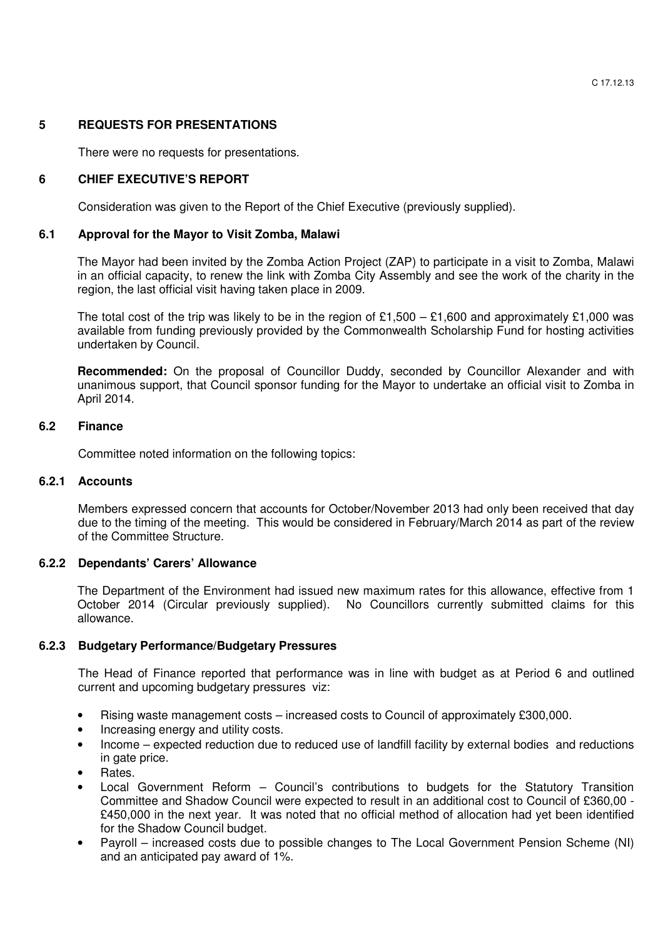# **5 REQUESTS FOR PRESENTATIONS**

There were no requests for presentations.

# **6 CHIEF EXECUTIVE'S REPORT**

Consideration was given to the Report of the Chief Executive (previously supplied).

## **6.1 Approval for the Mayor to Visit Zomba, Malawi**

The Mayor had been invited by the Zomba Action Project (ZAP) to participate in a visit to Zomba, Malawi in an official capacity, to renew the link with Zomba City Assembly and see the work of the charity in the region, the last official visit having taken place in 2009.

The total cost of the trip was likely to be in the region of £1,500 – £1,600 and approximately £1,000 was available from funding previously provided by the Commonwealth Scholarship Fund for hosting activities undertaken by Council.

**Recommended:** On the proposal of Councillor Duddy, seconded by Councillor Alexander and with unanimous support, that Council sponsor funding for the Mayor to undertake an official visit to Zomba in April 2014.

# **6.2 Finance**

Committee noted information on the following topics:

## **6.2.1 Accounts**

Members expressed concern that accounts for October/November 2013 had only been received that day due to the timing of the meeting. This would be considered in February/March 2014 as part of the review of the Committee Structure.

# **6.2.2 Dependants' Carers' Allowance**

The Department of the Environment had issued new maximum rates for this allowance, effective from 1 October 2014 (Circular previously supplied). No Councillors currently submitted claims for this allowance.

## **6.2.3 Budgetary Performance/Budgetary Pressures**

The Head of Finance reported that performance was in line with budget as at Period 6 and outlined current and upcoming budgetary pressures viz:

- Rising waste management costs increased costs to Council of approximately £300,000.
- Increasing energy and utility costs.
- Income expected reduction due to reduced use of landfill facility by external bodies and reductions in gate price.
- Rates.
- Local Government Reform Council's contributions to budgets for the Statutory Transition Committee and Shadow Council were expected to result in an additional cost to Council of £360,00 - £450,000 in the next year. It was noted that no official method of allocation had yet been identified for the Shadow Council budget.
- Payroll increased costs due to possible changes to The Local Government Pension Scheme (NI) and an anticipated pay award of 1%.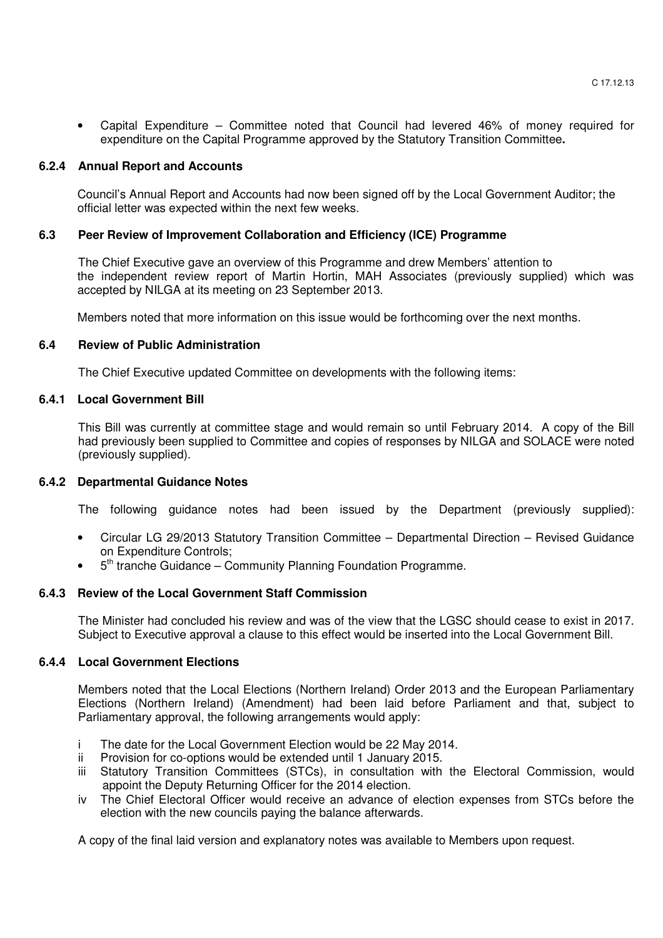• Capital Expenditure – Committee noted that Council had levered 46% of money required for expenditure on the Capital Programme approved by the Statutory Transition Committee**.** 

#### **6.2.4 Annual Report and Accounts**

Council's Annual Report and Accounts had now been signed off by the Local Government Auditor; the official letter was expected within the next few weeks.

### **6.3 Peer Review of Improvement Collaboration and Efficiency (ICE) Programme**

The Chief Executive gave an overview of this Programme and drew Members' attention to the independent review report of Martin Hortin, MAH Associates (previously supplied) which was accepted by NILGA at its meeting on 23 September 2013.

Members noted that more information on this issue would be forthcoming over the next months.

#### **6.4 Review of Public Administration**

The Chief Executive updated Committee on developments with the following items:

#### **6.4.1 Local Government Bill**

This Bill was currently at committee stage and would remain so until February 2014. A copy of the Bill had previously been supplied to Committee and copies of responses by NILGA and SOLACE were noted (previously supplied).

## **6.4.2 Departmental Guidance Notes**

The following guidance notes had been issued by the Department (previously supplied):

- Circular LG 29/2013 Statutory Transition Committee Departmental Direction Revised Guidance on Expenditure Controls;
- 5<sup>th</sup> tranche Guidance Community Planning Foundation Programme.

## **6.4.3 Review of the Local Government Staff Commission**

The Minister had concluded his review and was of the view that the LGSC should cease to exist in 2017. Subject to Executive approval a clause to this effect would be inserted into the Local Government Bill.

## **6.4.4 Local Government Elections**

Members noted that the Local Elections (Northern Ireland) Order 2013 and the European Parliamentary Elections (Northern Ireland) (Amendment) had been laid before Parliament and that, subject to Parliamentary approval, the following arrangements would apply:

- i The date for the Local Government Election would be 22 May 2014.
- ii Provision for co-options would be extended until 1 January 2015.
- iii Statutory Transition Committees (STCs), in consultation with the Electoral Commission, would appoint the Deputy Returning Officer for the 2014 election.
- iv The Chief Electoral Officer would receive an advance of election expenses from STCs before the election with the new councils paying the balance afterwards.

A copy of the final laid version and explanatory notes was available to Members upon request.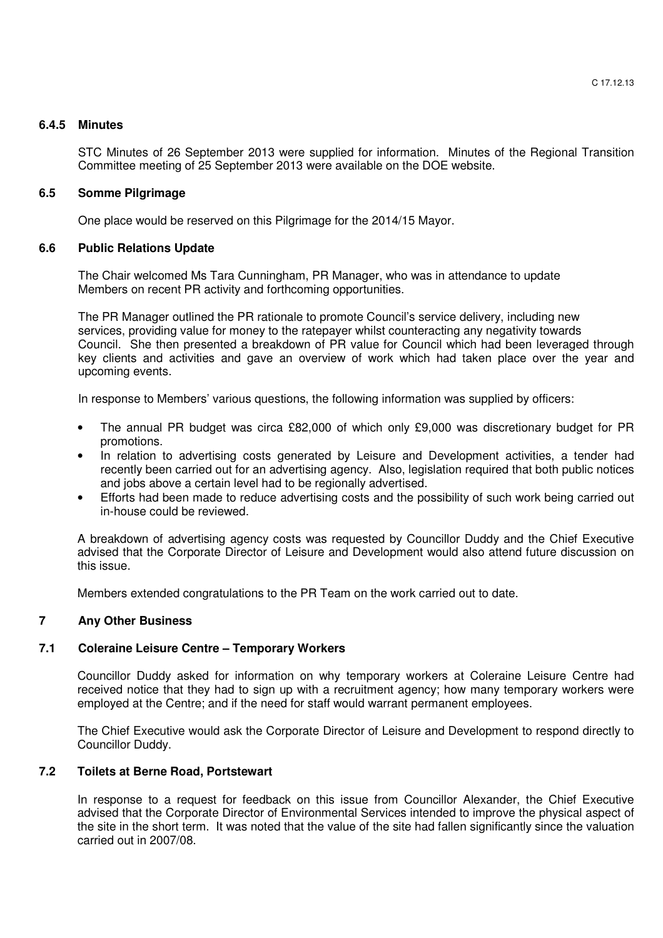## **6.4.5 Minutes**

STC Minutes of 26 September 2013 were supplied for information. Minutes of the Regional Transition Committee meeting of 25 September 2013 were available on the DOE website.

# **6.5 Somme Pilgrimage**

One place would be reserved on this Pilgrimage for the 2014/15 Mayor.

# **6.6 Public Relations Update**

The Chair welcomed Ms Tara Cunningham, PR Manager, who was in attendance to update Members on recent PR activity and forthcoming opportunities.

 The PR Manager outlined the PR rationale to promote Council's service delivery, including new services, providing value for money to the ratepayer whilst counteracting any negativity towards Council. She then presented a breakdown of PR value for Council which had been leveraged through key clients and activities and gave an overview of work which had taken place over the year and upcoming events.

In response to Members' various questions, the following information was supplied by officers:

- The annual PR budget was circa £82,000 of which only £9,000 was discretionary budget for PR promotions.
- In relation to advertising costs generated by Leisure and Development activities, a tender had recently been carried out for an advertising agency. Also, legislation required that both public notices and jobs above a certain level had to be regionally advertised.
- Efforts had been made to reduce advertising costs and the possibility of such work being carried out in-house could be reviewed.

A breakdown of advertising agency costs was requested by Councillor Duddy and the Chief Executive advised that the Corporate Director of Leisure and Development would also attend future discussion on this issue.

Members extended congratulations to the PR Team on the work carried out to date.

# **7 Any Other Business**

# **7.1 Coleraine Leisure Centre – Temporary Workers**

 Councillor Duddy asked for information on why temporary workers at Coleraine Leisure Centre had received notice that they had to sign up with a recruitment agency; how many temporary workers were employed at the Centre; and if the need for staff would warrant permanent employees.

 The Chief Executive would ask the Corporate Director of Leisure and Development to respond directly to Councillor Duddy.

## **7.2 Toilets at Berne Road, Portstewart**

 In response to a request for feedback on this issue from Councillor Alexander, the Chief Executive advised that the Corporate Director of Environmental Services intended to improve the physical aspect of the site in the short term. It was noted that the value of the site had fallen significantly since the valuation carried out in 2007/08.